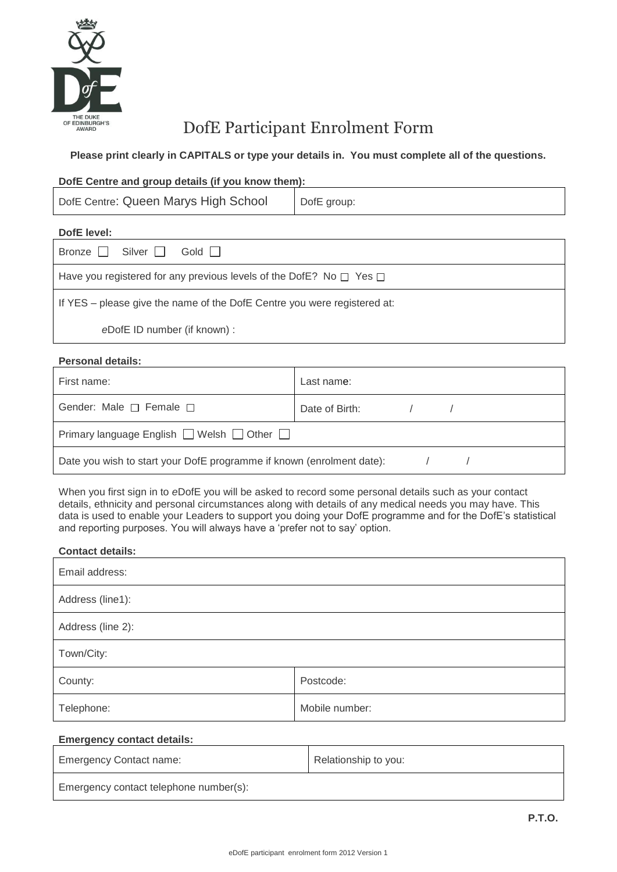

# DofE Participant Enrolment Form

## **Please print clearly in CAPITALS or type your details in. You must complete all of the questions.**

### **DofE Centre and group details (if you know them):**

DofE group:

# **DofE level:**

| Bronze $\Box$ Silver $\Box$<br>Gold                                           |  |  |
|-------------------------------------------------------------------------------|--|--|
| Have you registered for any previous levels of the DofE? No $\Box$ Yes $\Box$ |  |  |
| If YES – please give the name of the DofE Centre you were registered at:      |  |  |
| eDofE ID number (if known) :                                                  |  |  |

### **Personal details:**

| First name:                                                           | Last name:     |  |  |
|-----------------------------------------------------------------------|----------------|--|--|
| Gender: Male $\Box$ Female $\Box$                                     | Date of Birth: |  |  |
| Primary language English $\Box$ Welsh $\Box$ Other $\Box$             |                |  |  |
| Date you wish to start your DofE programme if known (enrolment date): |                |  |  |

When you first sign in to *e*DofE you will be asked to record some personal details such as your contact details, ethnicity and personal circumstances along with details of any medical needs you may have. This data is used to enable your Leaders to support you doing your DofE programme and for the DofE's statistical and reporting purposes. You will always have a 'prefer not to say' option.

#### **Contact details:**

| Email address:    |                |  |
|-------------------|----------------|--|
| Address (line1):  |                |  |
| Address (line 2): |                |  |
| Town/City:        |                |  |
| County:           | Postcode:      |  |
| Telephone:        | Mobile number: |  |

#### **Emergency contact details:**

| <b>Emergency Contact name:</b>         | Relationship to you: |
|----------------------------------------|----------------------|
| Emergency contact telephone number(s): |                      |